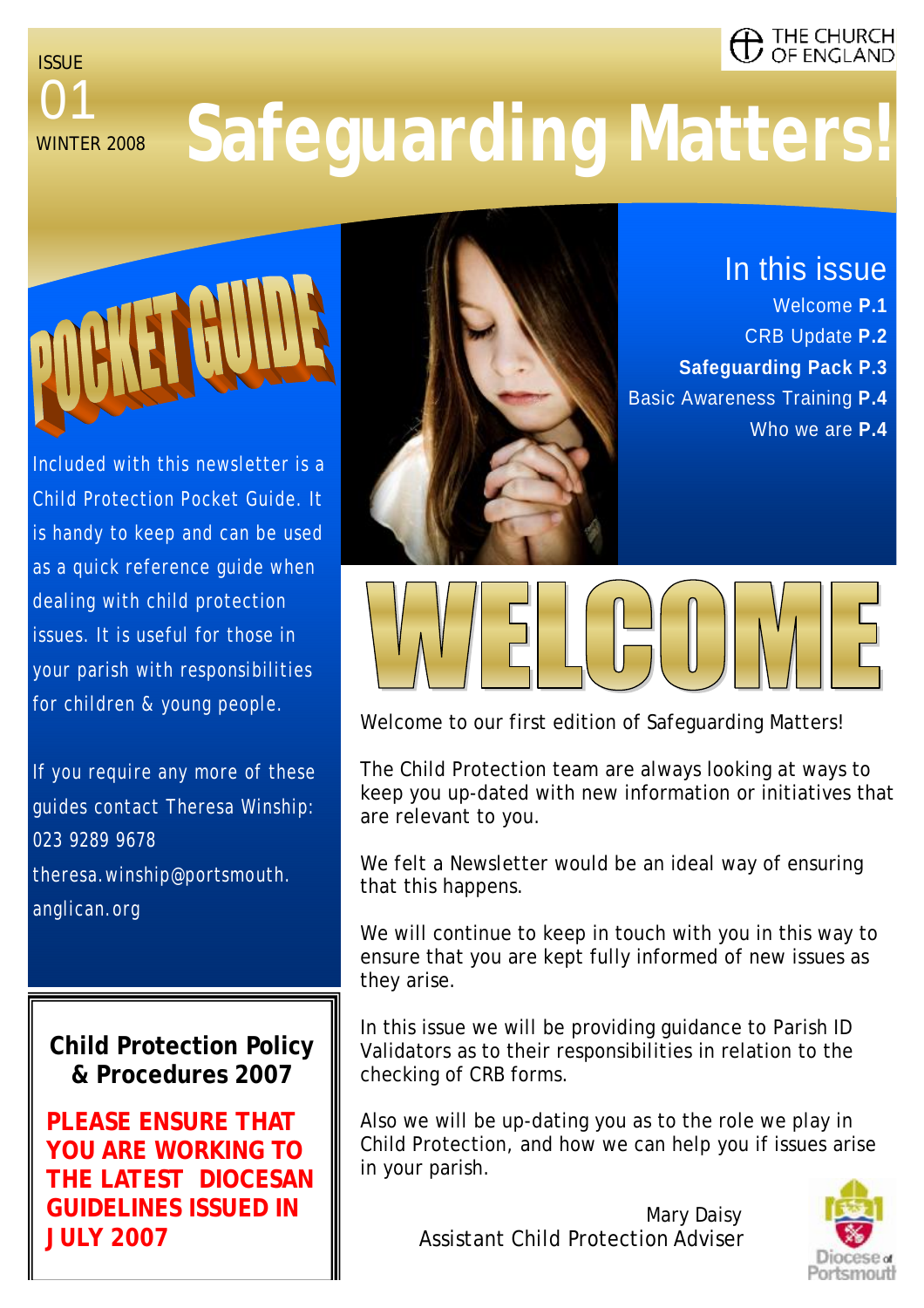#### . THE CHURCH **ENGLAND**

01 ISSUE **WINTFR 2008** 

# **Safeguarding Matters!**



Included with this newsletter is a Child Protection Pocket Guide. It is handy to keep and can be used as a quick reference guide when dealing with child protection issues. It is useful for those in your parish with responsibilities for children & young people.

If you require any more of these guides contact Theresa Winship: 023 9289 9678 theresa.winship@portsmouth. anglican.org

#### **Child Protection Policy & Procedures 2007**

**PLEASE ENSURE THAT YOU ARE WORKING TO THE LATEST DIOCESAN GUIDELINES ISSUED IN JULY 2007** 



In this issue Welcome **P.1**

- CRB Update **P.2**
- **Safeguarding Pack P.3**
- Basic Awareness Training **P.4**
	- Who we are **P.4**



Welcome to our first edition of Safeguarding Matters!

The Child Protection team are always looking at ways to keep you up-dated with new information or initiatives that are relevant to you.

We felt a Newsletter would be an ideal way of ensuring that this happens.

We will continue to keep in touch with you in this way to ensure that you are kept fully informed of new issues as they arise.

In this issue we will be providing guidance to Parish ID Validators as to their responsibilities in relation to the checking of CRB forms.

Also we will be up-dating you as to the role we play in Child Protection, and how we can help you if issues arise in your parish.

 Mary Daisy Assistant Child Protection Adviser

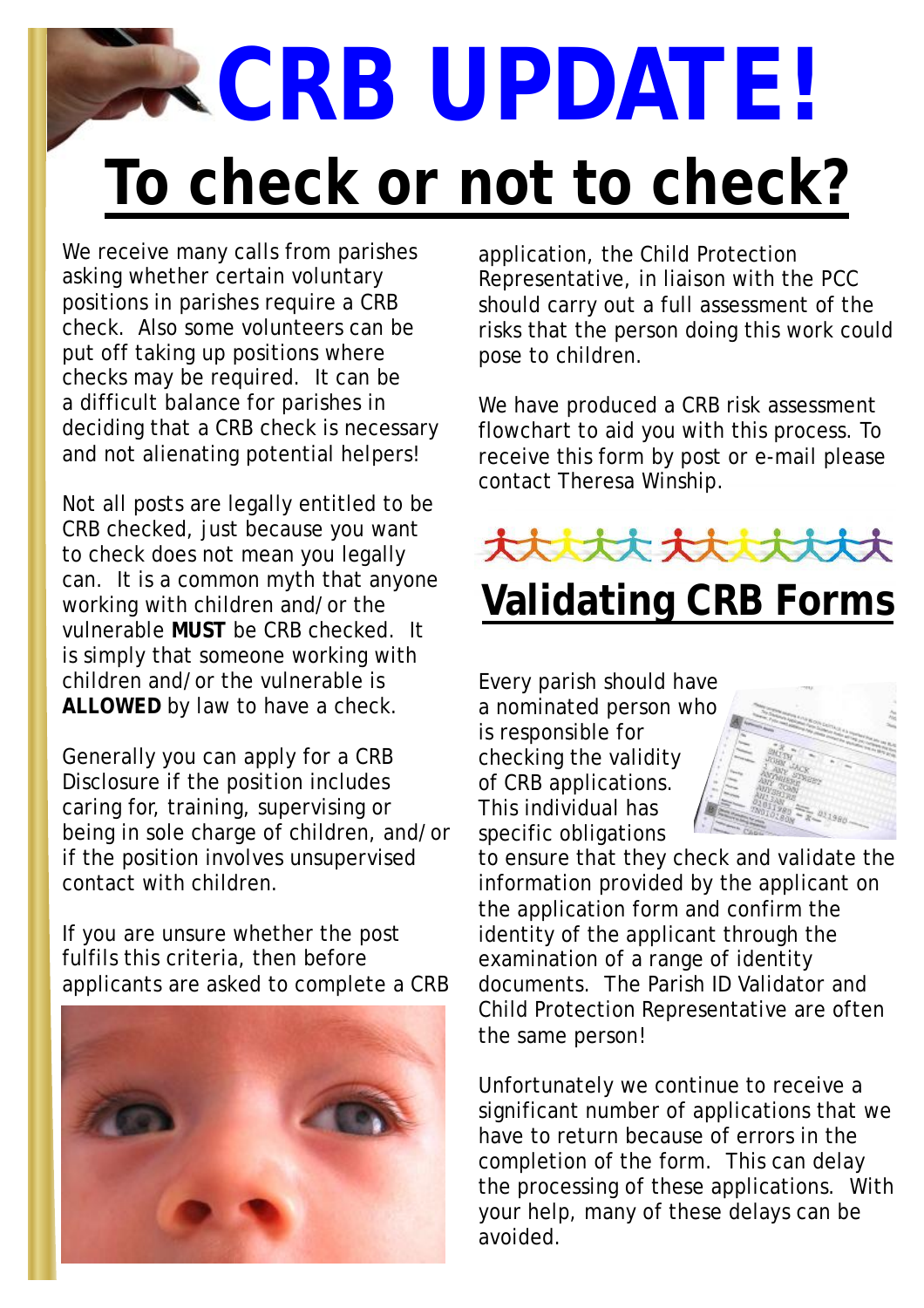# **To check or not to check? CRB UPDATE!**

We receive many calls from parishes asking whether certain voluntary positions in parishes require a CRB check. Also some volunteers can be put off taking up positions where checks may be required. It can be a difficult balance for parishes in deciding that a CRB check is necessary and not alienating potential helpers!

Not all posts are legally entitled to be CRB checked, just because you want to check does not mean you legally can. It is a common myth that anyone working with children and/or the vulnerable **MUST** be CRB checked. It is simply that someone working with children and/or the vulnerable is **ALLOWED** by law to have a check.

Generally you can apply for a CRB Disclosure if the position includes caring for, training, supervising or being in sole charge of children, and/or if the position involves unsupervised contact with children.

If you are unsure whether the post fulfils this criteria, then before applicants are asked to complete a CRB



application, the Child Protection Representative, in liaison with the PCC should carry out a full assessment of the risks that the person doing this work could pose to children.

We have produced a CRB risk assessment flowchart to aid you with this process. To receive this form by post or e-mail please contact Theresa Winship.



## **Validating CRB Forms**

Every parish should have a nominated person who is responsible for checking the validity of CRB applications. This individual has specific obligations



to ensure that they check and validate the information provided by the applicant on the application form and confirm the identity of the applicant through the examination of a range of identity documents. The Parish ID Validator and Child Protection Representative are often the same person!

Unfortunately we continue to receive a significant number of applications that we have to return because of errors in the completion of the form. This can delay the processing of these applications. With your help, many of these delays can be avoided.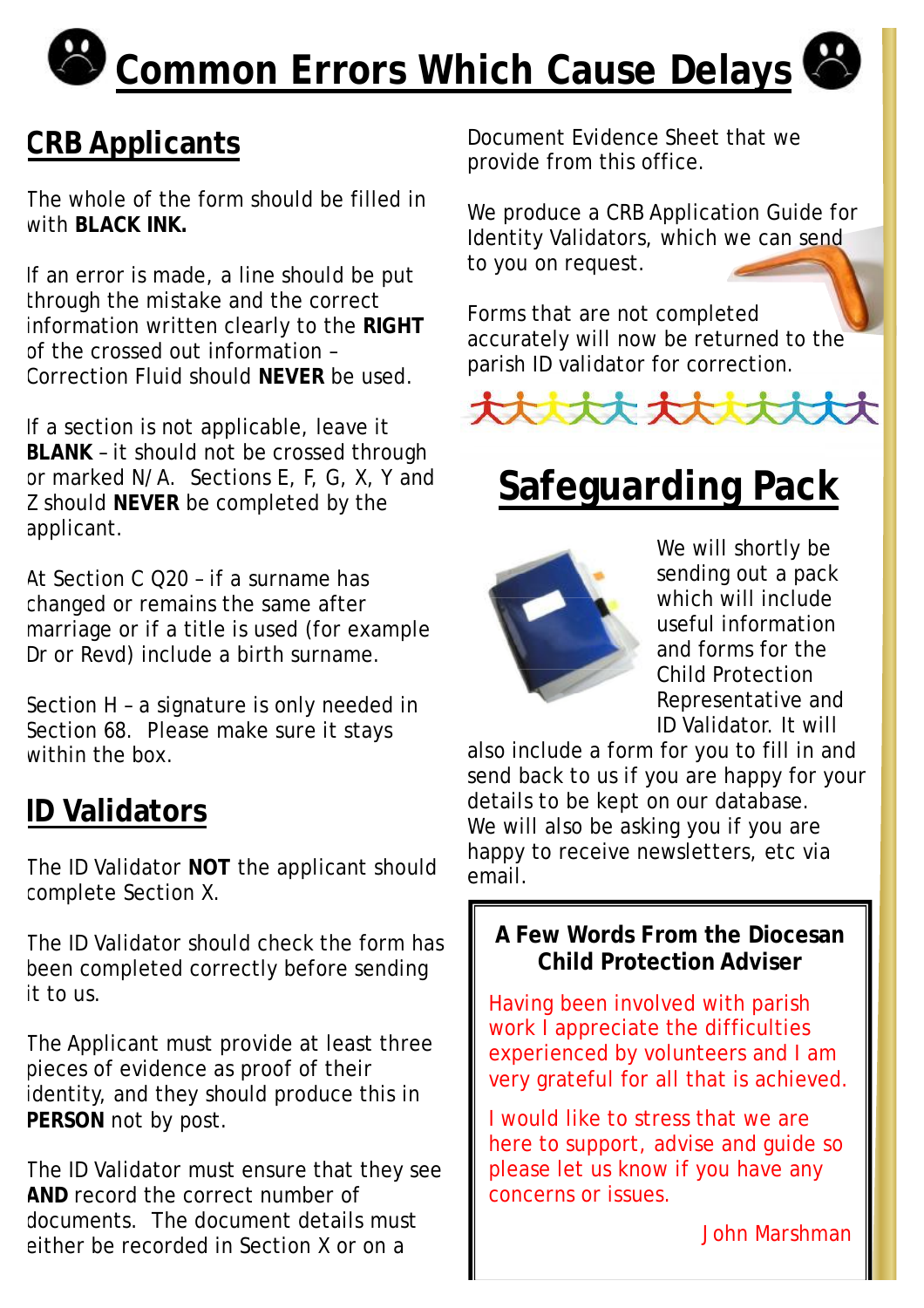# **Common Errors Which Cause Delays**

### **CRB Applicants**

The whole of the form should be filled in with **BLACK INK.** 

If an error is made, a line should be put through the mistake and the correct information written clearly to the **RIGHT** of the crossed out information – Correction Fluid should **NEVER** be used.

If a section is not applicable, leave it **BLANK** – it should not be crossed through or marked N/A. Sections E, F, G, X, Y and Z should **NEVER** be completed by the applicant.

At Section C Q20 – if a surname has changed or remains the same after marriage or if a title is used (for example Dr or Revd) include a birth surname.

Section H – a signature is only needed in Section 68. Please make sure it stays within the box.

#### **ID Validators**

The ID Validator **NOT** the applicant should complete Section X.

The ID Validator should check the form has been completed correctly before sending it to us.

The Applicant must provide at least three pieces of evidence as proof of their identity, and they should produce this in **PERSON** not by post.

The ID Validator must ensure that they see **AND** record the correct number of documents. The document details must either be recorded in Section X or on a

Document Evidence Sheet that we provide from this office.

We produce a CRB Application Guide for Identity Validators, which we can send to you on request.

Forms that are not completed accurately will now be returned to the parish ID validator for correction.



## **Safeguarding Pack**



We will shortly be sending out a pack which will include useful information and forms for the Child Protection Representative and ID Validator. It will

also include a form for you to fill in and send back to us if you are happy for your details to be kept on our database. We will also be asking you if you are happy to receive newsletters, etc via email.

#### **A Few Words From the Diocesan Child Protection Adviser**

Having been involved with parish work I appreciate the difficulties experienced by volunteers and I am very grateful for all that is achieved.

I would like to stress that we are here to support, advise and guide so please let us know if you have any concerns or issues.

John Marshman